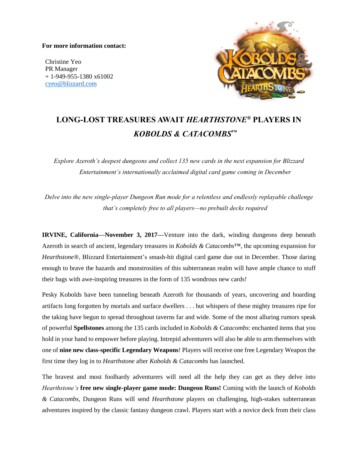## **For more information contact:**

Christine Yeo PR Manager + 1-949-955-1380 x61002 [cyeo@blizzard.com](mailto:cyeo@blizzard.com)



## **LONG-LOST TREASURES AWAIT** *HEARTHSTONE®* **PLAYERS IN** *KOBOLDS & CATACOMBS™*

*Explore Azeroth's deepest dungeons and collect 135 new cards in the next expansion for Blizzard Entertainment's internationally acclaimed digital card game coming in December*

*Delve into the new single-player Dungeon Run mode for a relentless and endlessly replayable challenge that's completely free to all players—no prebuilt decks required*

**IRVINE, California—November 3, 2017—**Venture into the dark, winding dungeons deep beneath Azeroth in search of ancient, legendary treasures in *Kobolds & Catacombs*™, the upcoming expansion for *Hearthstone®*, Blizzard Entertainment's smash-hit digital card game due out in December. Those daring enough to brave the hazards and monstrosities of this subterranean realm will have ample chance to stuff their bags with awe-inspiring treasures in the form of 135 wondrous new cards!

Pesky Kobolds have been tunneling beneath Azeroth for thousands of years, uncovering and hoarding artifacts long forgotten by mortals and surface dwellers . . . but whispers of these mighty treasures ripe for the taking have begun to spread throughout taverns far and wide. Some of the most alluring rumors speak of powerful **Spellstones** among the 135 cards included in *Kobolds & Catacombs*: enchanted items that you hold in your hand to empower before playing. Intrepid adventurers will also be able to arm themselves with one of **nine new class-specific Legendary Weapons**! Players will receive one free Legendary Weapon the first time they log in to *Hearthstone* after *Kobolds & Catacombs* has launched.

The bravest and most foolhardy adventurers will need all the help they can get as they delve into *Hearthstone's* **free new single-player game mode: Dungeon Runs!** Coming with the launch of *Kobolds & Catacombs*, Dungeon Runs will send *Hearthstone* players on challenging, high-stakes subterranean adventures inspired by the classic fantasy dungeon crawl. Players start with a novice deck from their class